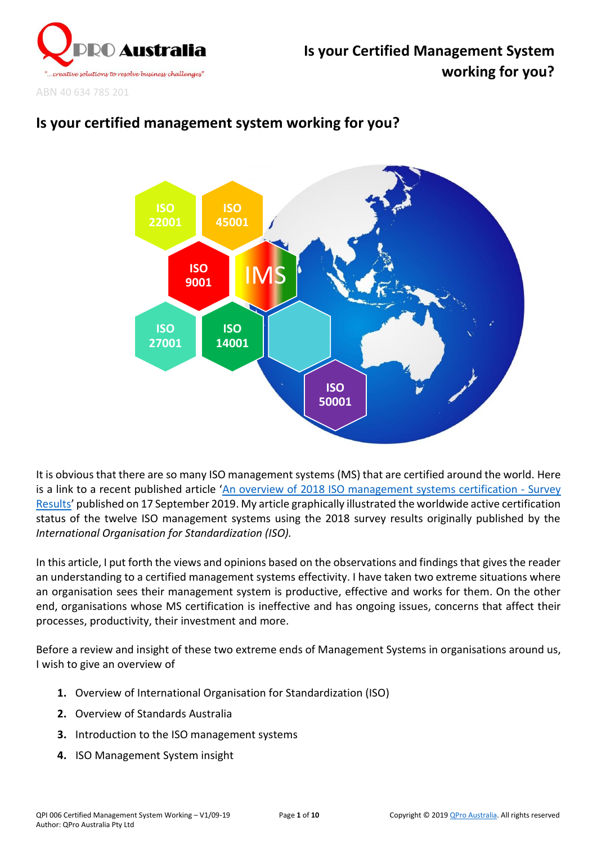

ABN 40 634 785 201

# **Is your certified management system working for you?**



It is obvious that there are so many ISO management systems (MS) that are certified around the world. Here is a link to a recent published article '[An overview of 2018 ISO management systems certification -](https://www.linkedin.com/posts/wilsonfernandez_an-overview-of-2018-iso-management-systems-activity-6579714666698768384-Yzxm) Survey [Results](https://www.linkedin.com/posts/wilsonfernandez_an-overview-of-2018-iso-management-systems-activity-6579714666698768384-Yzxm)' published on 17 September 2019. My article graphically illustrated the worldwide active certification status of the twelve ISO management systems using the 2018 survey results originally published by the *International Organisation for Standardization (ISO).*

In this article, I put forth the views and opinions based on the observations and findings that gives the reader an understanding to a certified management systems effectivity. I have taken two extreme situations where an organisation sees their management system is productive, effective and works for them. On the other end, organisations whose MS certification is ineffective and has ongoing issues, concerns that affect their processes, productivity, their investment and more.

Before a review and insight of these two extreme ends of Management Systems in organisations around us, I wish to give an overview of

- **1.** Overview of International Organisation for Standardization (ISO)
- **2.** Overview of Standards Australia
- **3.** Introduction to the ISO management systems
- **4.** ISO Management System insight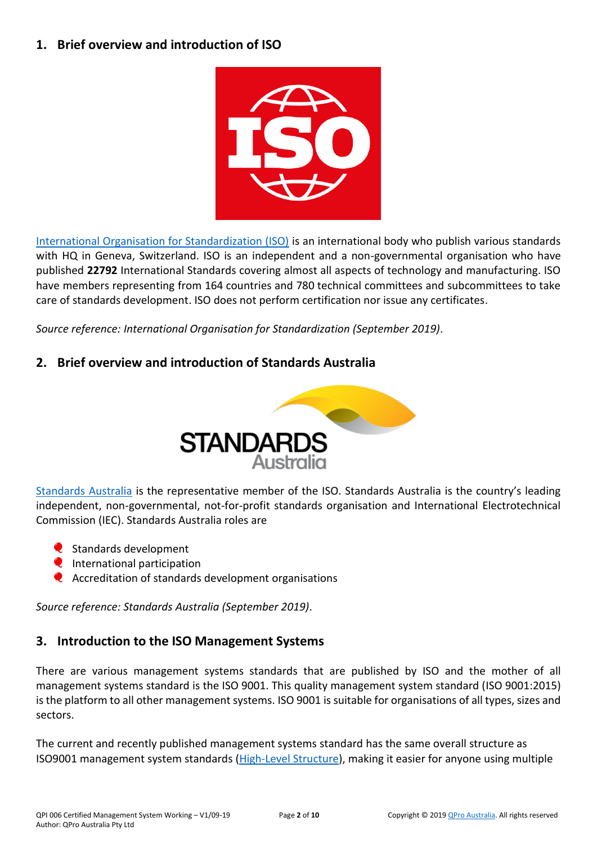#### **1. Brief overview and introduction of ISO**



[International Organisation for Standardization \(ISO\)](https://www.iso.org/) is an international body who publish various standards with HQ in Geneva, Switzerland. ISO is an independent and a non-governmental organisation who have published **22792** International Standards covering almost all aspects of technology and manufacturing. ISO have members representing from 164 countries and 780 technical committees and subcommittees to take care of standards development. ISO does not perform certification nor issue any certificates.

*Source reference: International Organisation for Standardization (September 2019)*.

## **2. Brief overview and introduction of Standards Australia**



[Standards Australia](https://www.standards.org.au/) is the representative member of the ISO. Standards Australia is the country's leading independent, non-governmental, not-for-profit standards organisation and International Electrotechnical Commission (IEC). Standards Australia roles are

- Standards development
- $\bullet$  International participation
- Accreditation of standards development organisations

*Source reference: Standards Australia (September 2019)*.

### **3. Introduction to the ISO Management Systems**

There are various management systems standards that are published by ISO and the mother of all management systems standard is the ISO 9001. This quality management system standard (ISO 9001:2015) is the platform to all other management systems. ISO 9001 is suitable for organisations of all types, sizes and sectors.

The current and recently published management systems standard has the same overall structure as ISO9001 management system standards [\(High-Level Structure\)](https://www.iso.org/sites/directives/current/consolidated/index.xhtml#_idTextAnchor294), making it easier for anyone using multiple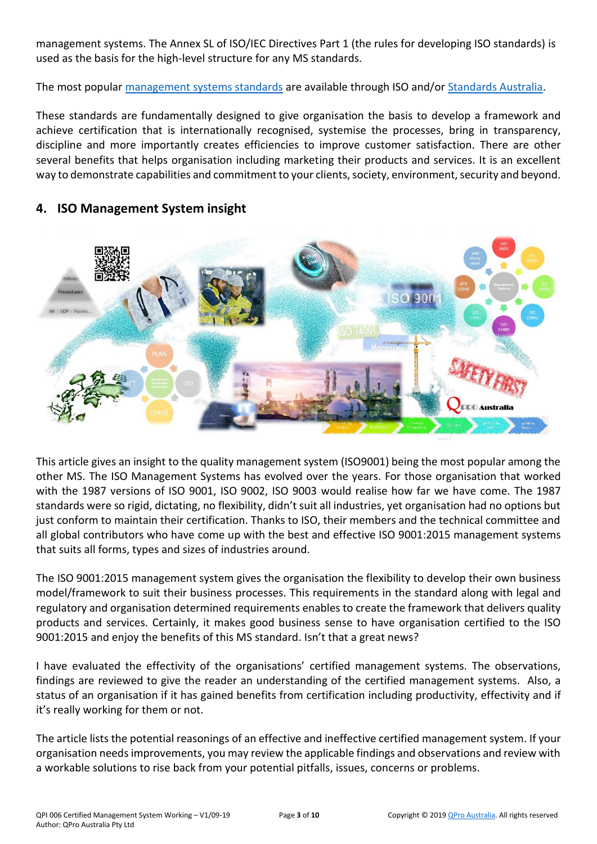management systems. The Annex SL of ISO/IEC Directives Part 1 (the rules for developing ISO standards) is used as the basis for the high-level structure for any MS standards.

The most popular [management systems standards](https://www.iso.org/popular-standards.html) are available through ISO and/or [Standards Australia.](https://www.techstreet.com/products?vendor_id=288774&sort_direction=desc+NULLS+LAST&sort_order=edition_date)

These standards are fundamentally designed to give organisation the basis to develop a framework and achieve certification that is internationally recognised, systemise the processes, bring in transparency, discipline and more importantly creates efficiencies to improve customer satisfaction. There are other several benefits that helps organisation including marketing their products and services. It is an excellent way to demonstrate capabilities and commitment to your clients, society, environment, security and beyond.



#### **4. ISO Management System insight**

This article gives an insight to the quality management system (ISO9001) being the most popular among the other MS. The ISO Management Systems has evolved over the years. For those organisation that worked with the 1987 versions of ISO 9001, ISO 9002, ISO 9003 would realise how far we have come. The 1987 standards were so rigid, dictating, no flexibility, didn't suit all industries, yet organisation had no options but just conform to maintain their certification. Thanks to ISO, their members and the technical committee and all global contributors who have come up with the best and effective ISO 9001:2015 management systems that suits all forms, types and sizes of industries around.

The ISO 9001:2015 management system gives the organisation the flexibility to develop their own business model/framework to suit their business processes. This requirements in the standard along with legal and regulatory and organisation determined requirements enables to create the framework that delivers quality products and services. Certainly, it makes good business sense to have organisation certified to the ISO 9001:2015 and enjoy the benefits of this MS standard. Isn't that a great news?

I have evaluated the effectivity of the organisations' certified management systems. The observations, findings are reviewed to give the reader an understanding of the certified management systems. Also, a status of an organisation if it has gained benefits from certification including productivity, effectivity and if it's really working for them or not.

The article lists the potential reasonings of an effective and ineffective certified management system. If your organisation needs improvements, you may review the applicable findings and observations and review with a workable solutions to rise back from your potential pitfalls, issues, concerns or problems.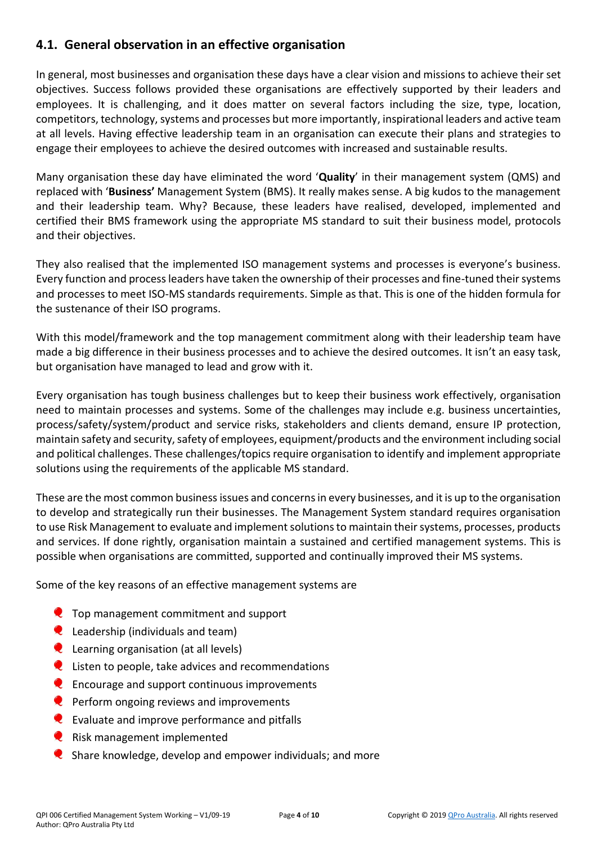### **4.1. General observation in an effective organisation**

In general, most businesses and organisation these days have a clear vision and missions to achieve their set objectives. Success follows provided these organisations are effectively supported by their leaders and employees. It is challenging, and it does matter on several factors including the size, type, location, competitors, technology, systems and processes but more importantly, inspirational leaders and active team at all levels. Having effective leadership team in an organisation can execute their plans and strategies to engage their employees to achieve the desired outcomes with increased and sustainable results.

Many organisation these day have eliminated the word '**Quality**' in their management system (QMS) and replaced with '**Business'** Management System (BMS). It really makes sense. A big kudos to the management and their leadership team. Why? Because, these leaders have realised, developed, implemented and certified their BMS framework using the appropriate MS standard to suit their business model, protocols and their objectives.

They also realised that the implemented ISO management systems and processes is everyone's business. Every function and process leaders have taken the ownership of their processes and fine-tuned their systems and processes to meet ISO-MS standards requirements. Simple as that. This is one of the hidden formula for the sustenance of their ISO programs.

With this model/framework and the top management commitment along with their leadership team have made a big difference in their business processes and to achieve the desired outcomes. It isn't an easy task, but organisation have managed to lead and grow with it.

Every organisation has tough business challenges but to keep their business work effectively, organisation need to maintain processes and systems. Some of the challenges may include e.g. business uncertainties, process/safety/system/product and service risks, stakeholders and clients demand, ensure IP protection, maintain safety and security, safety of employees, equipment/products and the environment including social and political challenges. These challenges/topics require organisation to identify and implement appropriate solutions using the requirements of the applicable MS standard.

These are the most common business issues and concerns in every businesses, and it is up to the organisation to develop and strategically run their businesses. The Management System standard requires organisation to use Risk Management to evaluate and implement solutions to maintain their systems, processes, products and services. If done rightly, organisation maintain a sustained and certified management systems. This is possible when organisations are committed, supported and continually improved their MS systems.

Some of the key reasons of an effective management systems are

- **Q** Top management commitment and support
- $\bullet$  Leadership (individuals and team)
- **Q** Learning organisation (at all levels)
- $\bullet$  Listen to people, take advices and recommendations
- $\bullet$  Encourage and support continuous improvements
- $\bullet$  Perform ongoing reviews and improvements
- **Evaluate and improve performance and pitfalls**
- $\bullet$  Risk management implemented
- $\bullet$  Share knowledge, develop and empower individuals; and more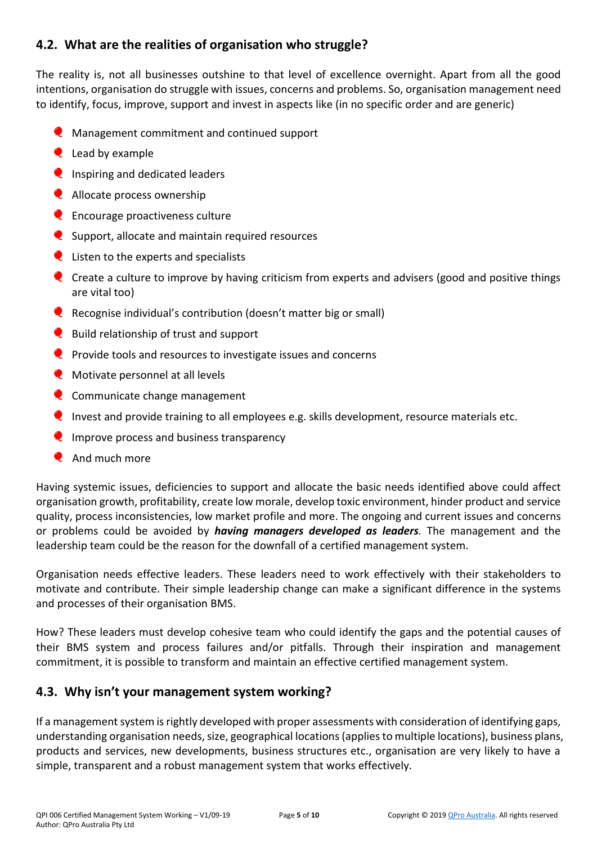### **4.2. What are the realities of organisation who struggle?**

The reality is, not all businesses outshine to that level of excellence overnight. Apart from all the good intentions, organisation do struggle with issues, concerns and problems. So, organisation management need to identify, focus, improve, support and invest in aspects like (in no specific order and are generic)

- **Q** Management commitment and continued support
- **Q** Lead by example
- **Q** Inspiring and dedicated leaders
- **Q** Allocate process ownership
- **Q** Encourage proactiveness culture
- Support, allocate and maintain required resources
- **Q** Listen to the experts and specialists
- Create a culture to improve by having criticism from experts and advisers (good and positive things are vital too)
- Recognise individual's contribution (doesn't matter big or small)
- **Q** Build relationship of trust and support
- **P** Provide tools and resources to investigate issues and concerns
- **W** Motivate personnel at all levels
- **Q** Communicate change management
- Invest and provide training to all employees e.g. skills development, resource materials etc.
- $\bullet$  Improve process and business transparency
- **And much more**

Having systemic issues, deficiencies to support and allocate the basic needs identified above could affect organisation growth, profitability, create low morale, develop toxic environment, hinder product and service quality, process inconsistencies, low market profile and more. The ongoing and current issues and concerns or problems could be avoided by *having managers developed as leaders.* The management and the leadership team could be the reason for the downfall of a certified management system.

Organisation needs effective leaders. These leaders need to work effectively with their stakeholders to motivate and contribute. Their simple leadership change can make a significant difference in the systems and processes of their organisation BMS.

How? These leaders must develop cohesive team who could identify the gaps and the potential causes of their BMS system and process failures and/or pitfalls. Through their inspiration and management commitment, it is possible to transform and maintain an effective certified management system.

### **4.3. Why isn't your management system working?**

If a management system is rightly developed with proper assessments with consideration of identifying gaps, understanding organisation needs, size, geographical locations (applies to multiple locations), business plans, products and services, new developments, business structures etc., organisation are very likely to have a simple, transparent and a robust management system that works effectively.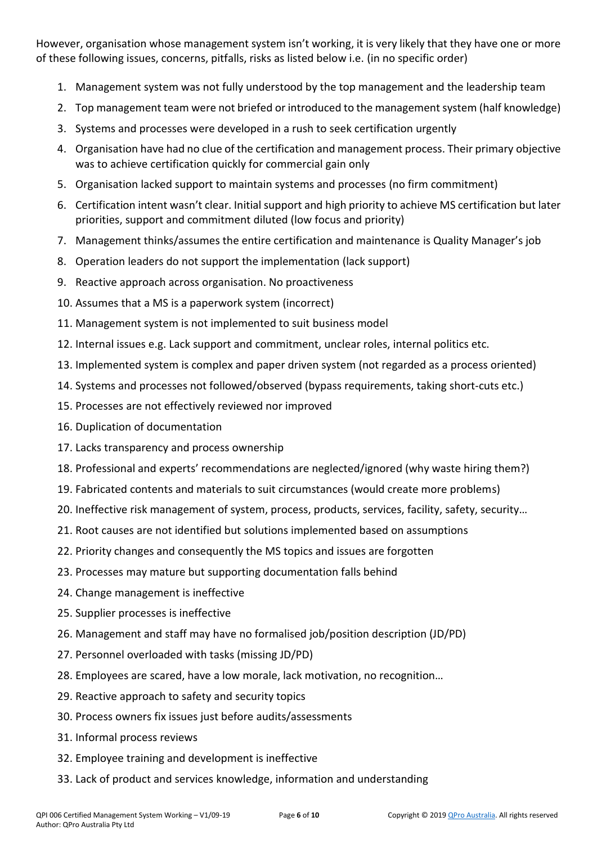However, organisation whose management system isn't working, it is very likely that they have one or more of these following issues, concerns, pitfalls, risks as listed below i.e. (in no specific order)

- 1. Management system was not fully understood by the top management and the leadership team
- 2. Top management team were not briefed or introduced to the management system (half knowledge)
- 3. Systems and processes were developed in a rush to seek certification urgently
- 4. Organisation have had no clue of the certification and management process. Their primary objective was to achieve certification quickly for commercial gain only
- 5. Organisation lacked support to maintain systems and processes (no firm commitment)
- 6. Certification intent wasn't clear. Initial support and high priority to achieve MS certification but later priorities, support and commitment diluted (low focus and priority)
- 7. Management thinks/assumes the entire certification and maintenance is Quality Manager's job
- 8. Operation leaders do not support the implementation (lack support)
- 9. Reactive approach across organisation. No proactiveness
- 10. Assumes that a MS is a paperwork system (incorrect)
- 11. Management system is not implemented to suit business model
- 12. Internal issues e.g. Lack support and commitment, unclear roles, internal politics etc.
- 13. Implemented system is complex and paper driven system (not regarded as a process oriented)
- 14. Systems and processes not followed/observed (bypass requirements, taking short-cuts etc.)
- 15. Processes are not effectively reviewed nor improved
- 16. Duplication of documentation
- 17. Lacks transparency and process ownership
- 18. Professional and experts' recommendations are neglected/ignored (why waste hiring them?)
- 19. Fabricated contents and materials to suit circumstances (would create more problems)
- 20. Ineffective risk management of system, process, products, services, facility, safety, security…
- 21. Root causes are not identified but solutions implemented based on assumptions
- 22. Priority changes and consequently the MS topics and issues are forgotten
- 23. Processes may mature but supporting documentation falls behind
- 24. Change management is ineffective
- 25. Supplier processes is ineffective
- 26. Management and staff may have no formalised job/position description (JD/PD)
- 27. Personnel overloaded with tasks (missing JD/PD)
- 28. Employees are scared, have a low morale, lack motivation, no recognition…
- 29. Reactive approach to safety and security topics
- 30. Process owners fix issues just before audits/assessments
- 31. Informal process reviews
- 32. Employee training and development is ineffective
- 33. Lack of product and services knowledge, information and understanding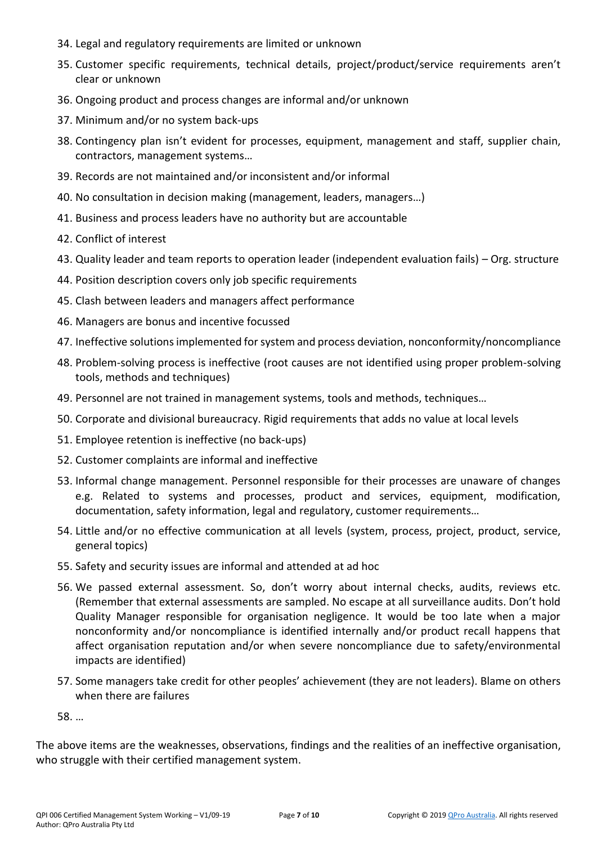- 34. Legal and regulatory requirements are limited or unknown
- 35. Customer specific requirements, technical details, project/product/service requirements aren't clear or unknown
- 36. Ongoing product and process changes are informal and/or unknown
- 37. Minimum and/or no system back-ups
- 38. Contingency plan isn't evident for processes, equipment, management and staff, supplier chain, contractors, management systems…
- 39. Records are not maintained and/or inconsistent and/or informal
- 40. No consultation in decision making (management, leaders, managers…)
- 41. Business and process leaders have no authority but are accountable
- 42. Conflict of interest
- 43. Quality leader and team reports to operation leader (independent evaluation fails) Org. structure
- 44. Position description covers only job specific requirements
- 45. Clash between leaders and managers affect performance
- 46. Managers are bonus and incentive focussed
- 47. Ineffective solutions implemented for system and process deviation, nonconformity/noncompliance
- 48. Problem-solving process is ineffective (root causes are not identified using proper problem-solving tools, methods and techniques)
- 49. Personnel are not trained in management systems, tools and methods, techniques…
- 50. Corporate and divisional bureaucracy. Rigid requirements that adds no value at local levels
- 51. Employee retention is ineffective (no back-ups)
- 52. Customer complaints are informal and ineffective
- 53. Informal change management. Personnel responsible for their processes are unaware of changes e.g. Related to systems and processes, product and services, equipment, modification, documentation, safety information, legal and regulatory, customer requirements…
- 54. Little and/or no effective communication at all levels (system, process, project, product, service, general topics)
- 55. Safety and security issues are informal and attended at ad hoc
- 56. We passed external assessment. So, don't worry about internal checks, audits, reviews etc. (Remember that external assessments are sampled. No escape at all surveillance audits. Don't hold Quality Manager responsible for organisation negligence. It would be too late when a major nonconformity and/or noncompliance is identified internally and/or product recall happens that affect organisation reputation and/or when severe noncompliance due to safety/environmental impacts are identified)
- 57. Some managers take credit for other peoples' achievement (they are not leaders). Blame on others when there are failures

58. …

The above items are the weaknesses, observations, findings and the realities of an ineffective organisation, who struggle with their certified management system.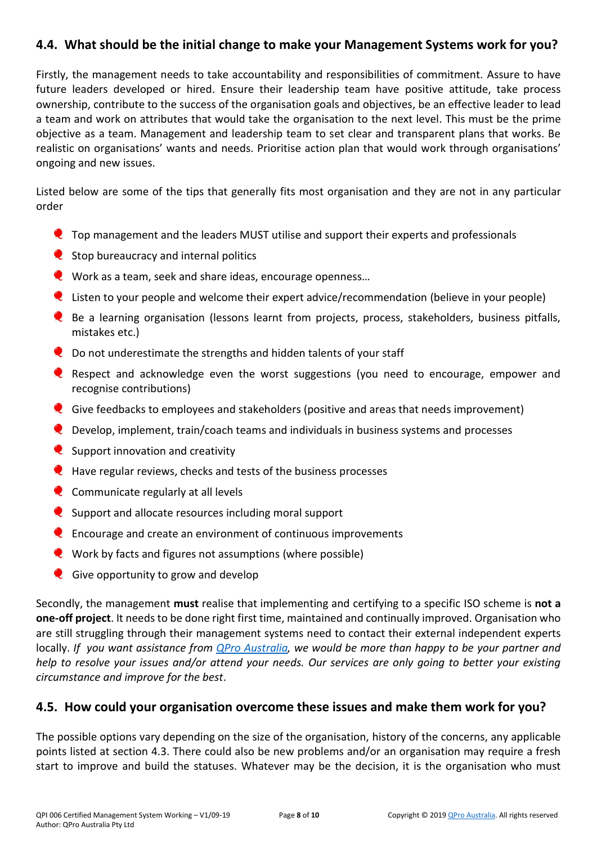### **4.4. What should be the initial change to make your Management Systems work for you?**

Firstly, the management needs to take accountability and responsibilities of commitment. Assure to have future leaders developed or hired. Ensure their leadership team have positive attitude, take process ownership, contribute to the success of the organisation goals and objectives, be an effective leader to lead a team and work on attributes that would take the organisation to the next level. This must be the prime objective as a team. Management and leadership team to set clear and transparent plans that works. Be realistic on organisations' wants and needs. Prioritise action plan that would work through organisations' ongoing and new issues.

Listed below are some of the tips that generally fits most organisation and they are not in any particular order

- **Q** Top management and the leaders MUST utilise and support their experts and professionals
- $\bullet$  Stop bureaucracy and internal politics
- Work as a team, seek and share ideas, encourage openness...
- Listen to your people and welcome their expert advice/recommendation (believe in your people)
- Be a learning organisation (lessons learnt from projects, process, stakeholders, business pitfalls, mistakes etc.)
- **Q** Do not underestimate the strengths and hidden talents of your staff
- Respect and acknowledge even the worst suggestions (you need to encourage, empower and recognise contributions)
- Give feedbacks to employees and stakeholders (positive and areas that needs improvement)
- Develop, implement, train/coach teams and individuals in business systems and processes
- $\bullet$  Support innovation and creativity
- **Q** Have regular reviews, checks and tests of the business processes
- $\bullet$  Communicate regularly at all levels
- Support and allocate resources including moral support
- $\bullet$  Encourage and create an environment of continuous improvements
- Work by facts and figures not assumptions (where possible)
- Give opportunity to grow and develop

Secondly, the management **must** realise that implementing and certifying to a specific ISO scheme is **not a one-off project**. It needs to be done right first time, maintained and continually improved. Organisation who are still struggling through their management systems need to contact their external independent experts locally. *If you want assistance from [QPro Australia,](http://www.qproaustralia.com.au/) we would be more than happy to be your partner and help to resolve your issues and/or attend your needs. Our services are only going to better your existing circumstance and improve for the best*.

#### **4.5. How could your organisation overcome these issues and make them work for you?**

The possible options vary depending on the size of the organisation, history of the concerns, any applicable points listed at section 4.3. There could also be new problems and/or an organisation may require a fresh start to improve and build the statuses. Whatever may be the decision, it is the organisation who must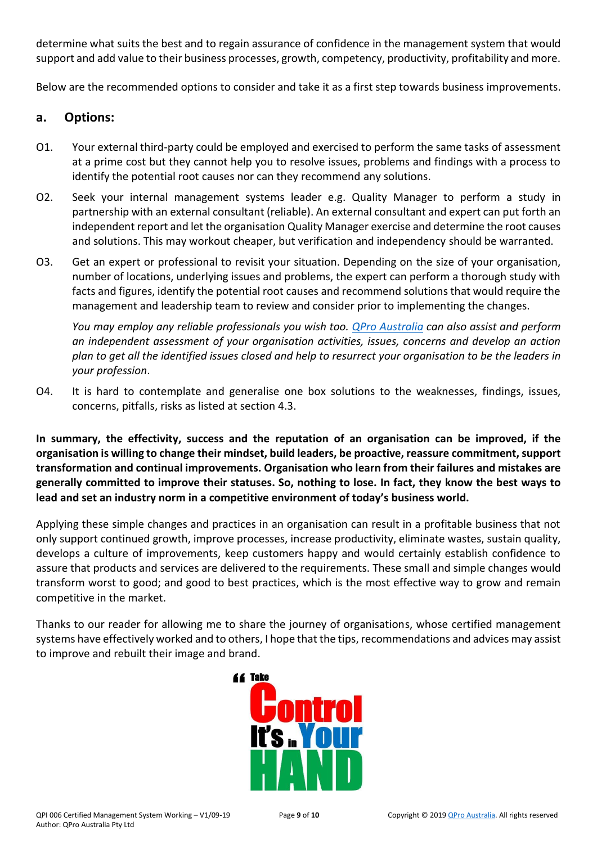determine what suits the best and to regain assurance of confidence in the management system that would support and add value to their business processes, growth, competency, productivity, profitability and more.

Below are the recommended options to consider and take it as a first step towards business improvements.

#### **a. Options:**

- O1. Your external third-party could be employed and exercised to perform the same tasks of assessment at a prime cost but they cannot help you to resolve issues, problems and findings with a process to identify the potential root causes nor can they recommend any solutions.
- O2. Seek your internal management systems leader e.g. Quality Manager to perform a study in partnership with an external consultant (reliable). An external consultant and expert can put forth an independent report and let the organisation Quality Manager exercise and determine the root causes and solutions. This may workout cheaper, but verification and independency should be warranted.
- O3. Get an expert or professional to revisit your situation. Depending on the size of your organisation, number of locations, underlying issues and problems, the expert can perform a thorough study with facts and figures, identify the potential root causes and recommend solutions that would require the management and leadership team to review and consider prior to implementing the changes.

*You may employ any reliable professionals you wish too. [QPro Australia](http://www.qproaustralia.com.au/) can also assist and perform an independent assessment of your organisation activities, issues, concerns and develop an action plan to get all the identified issues closed and help to resurrect your organisation to be the leaders in your profession*.

O4. It is hard to contemplate and generalise one box solutions to the weaknesses, findings, issues, concerns, pitfalls, risks as listed at section 4.3.

**In summary, the effectivity, success and the reputation of an organisation can be improved, if the organisation is willing to change their mindset, build leaders, be proactive, reassure commitment, support transformation and continual improvements. Organisation who learn from their failures and mistakes are generally committed to improve their statuses. So, nothing to lose. In fact, they know the best ways to lead and set an industry norm in a competitive environment of today's business world.**

Applying these simple changes and practices in an organisation can result in a profitable business that not only support continued growth, improve processes, increase productivity, eliminate wastes, sustain quality, develops a culture of improvements, keep customers happy and would certainly establish confidence to assure that products and services are delivered to the requirements. These small and simple changes would transform worst to good; and good to best practices, which is the most effective way to grow and remain competitive in the market.

Thanks to our reader for allowing me to share the journey of organisations, whose certified management systems have effectively worked and to others, I hope that the tips, recommendations and advices may assist to improve and rebuilt their image and brand.